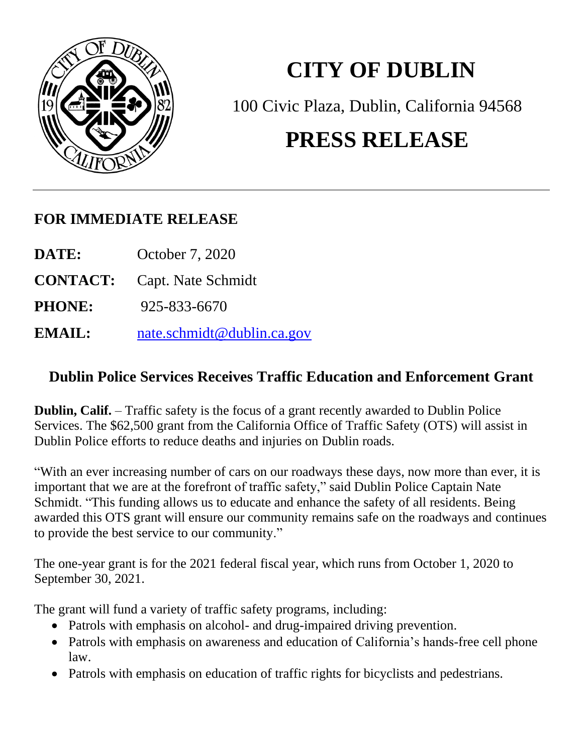

## **CITY OF DUBLIN**

100 Civic Plaza, Dublin, California 94568

## **PRESS RELEASE**

## **FOR IMMEDIATE RELEASE**

- **DATE:** October 7, 2020
- **CONTACT:** Capt. Nate Schmidt
- **PHONE:** 925-833-6670
- **EMAIL:** [nate.schmidt@dublin.ca.gov](mailto:nate.schmidt@dublin.ca.gov)

## **Dublin Police Services Receives Traffic Education and Enforcement Grant**

**Dublin, Calif.** – Traffic safety is the focus of a grant recently awarded to Dublin Police Services. The \$62,500 grant from the California Office of Traffic Safety (OTS) will assist in Dublin Police efforts to reduce deaths and injuries on Dublin roads.

"With an ever increasing number of cars on our roadways these days, now more than ever, it is important that we are at the forefront of traffic safety," said Dublin Police Captain Nate Schmidt. "This funding allows us to educate and enhance the safety of all residents. Being awarded this OTS grant will ensure our community remains safe on the roadways and continues to provide the best service to our community."

The one-year grant is for the 2021 federal fiscal year, which runs from October 1, 2020 to September 30, 2021.

The grant will fund a variety of traffic safety programs, including:

- Patrols with emphasis on alcohol- and drug-impaired driving prevention.
- Patrols with emphasis on awareness and education of California's hands-free cell phone law.
- Patrols with emphasis on education of traffic rights for bicyclists and pedestrians.